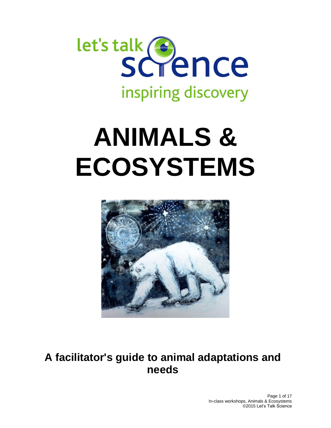

# **ANIMALS & ECOSYSTEMS**



## **A facilitator's guide to animal adaptations and needs**

Page 1 of 17 In-class workshops, Animals & Ecosystems ©2015 Let's Talk Science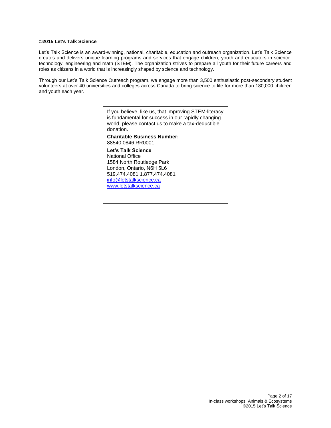#### **©2015 Let's Talk Science**

Let's Talk Science is an award-winning, national, charitable, education and outreach organization. Let's Talk Science creates and delivers unique learning programs and services that engage children, youth and educators in science, technology, engineering and math (STEM). The organization strives to prepare all youth for their future careers and roles as citizens in a world that is increasingly shaped by science and technology.

Through our Let's Talk Science Outreach program, we engage more than 3,500 enthusiastic post-secondary student volunteers at over 40 universities and colleges across Canada to bring science to life for more than 180,000 children and youth each year.

> If you believe, like us, that improving STEM-literacy is fundamental for success in our rapidly changing world, please contact us to make a tax-deductible donation.

**Charitable Business Number:** 88540 0846 RR0001

**Let's Talk Science** National Office 1584 North Routledge Park London, Ontario, N6H 5L6 519.474.4081 1.877.474.4081 [info@letstalkscience.ca](mailto:info@letstalkscience.ca) [www.letstalkscience.ca](http://www.letstalkscience.ca/)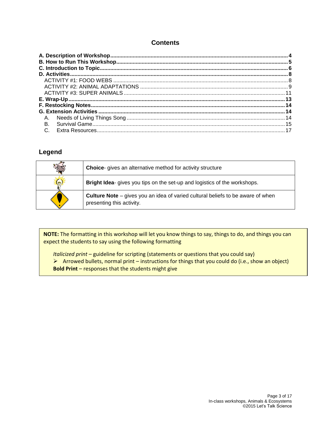#### **Contents**

| Α.        |  |
|-----------|--|
| <b>B.</b> |  |
| $C_{1}$   |  |

#### **Legend**

| $\mathbb{Z}_{\overline{N}}$ | <b>Choice-</b> gives an alternative method for activity structure                                                   |
|-----------------------------|---------------------------------------------------------------------------------------------------------------------|
| $(\gamma)$                  | Bright Idea- gives you tips on the set-up and logistics of the workshops.                                           |
|                             | <b>Culture Note</b> – gives you an idea of varied cultural beliefs to be aware of when<br>presenting this activity. |

**NOTE:** The formatting in this workshop will let you know things to say, things to do, and things you can expect the students to say using the following formatting

*Italicized print* – guideline for scripting (statements or questions that you could say)

- $\triangleright$  Arrowed bullets, normal print instructions for things that you could do (i.e., show an object)
- **Bold Print**  responses that the students might give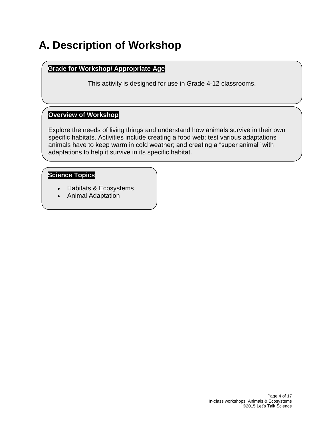## <span id="page-3-0"></span>**A. Description of Workshop**

#### **Grade for Workshop/ Appropriate Age**

This activity is designed for use in Grade 4-12 classrooms.

#### **Overview of Workshop**

Explore the needs of living things and understand how animals survive in their own specific habitats. Activities include creating a food web; test various adaptations animals have to keep warm in cold weather; and creating a "super animal" with adaptations to help it survive in its specific habitat.

#### **Science Topics**

- Habitats & Ecosystems
- Animal Adaptation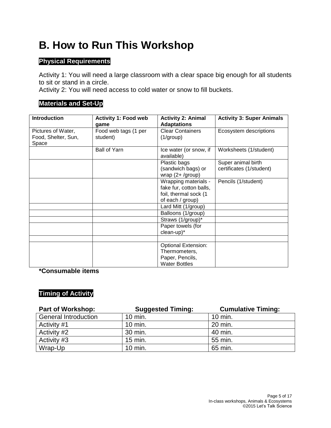## <span id="page-4-0"></span>**B. How to Run This Workshop**

#### **Physical Requirements**

Activity 1: You will need a large classroom with a clear space big enough for all students to sit or stand in a circle.

Activity 2: You will need access to cold water or snow to fill buckets.

#### **Materials and Set-Up**

| <b>Introduction</b>          | <b>Activity 1: Food web</b><br>game | <b>Activity 2: Animal</b><br><b>Adaptations</b> | <b>Activity 3: Super Animals</b> |
|------------------------------|-------------------------------------|-------------------------------------------------|----------------------------------|
| Pictures of Water,           | Food web tags (1 per                | <b>Clear Containers</b>                         | Ecosystem descriptions           |
| Food, Shelter, Sun,<br>Space | student)                            | $(1/\text{group})$                              |                                  |
|                              | <b>Ball of Yarn</b>                 | Ice water (or snow, if<br>available)            | Worksheets (1/student)           |
|                              |                                     | Plastic bags                                    | Super animal birth               |
|                              |                                     | (sandwich bags) or<br>wrap $(2 + /$ group)      | certificates (1/student)         |
|                              |                                     | Wrapping materials -                            | Pencils (1/student)              |
|                              |                                     | fake fur, cotton balls,                         |                                  |
|                              |                                     | foil, thermal sock (1                           |                                  |
|                              |                                     | of each / group)                                |                                  |
|                              |                                     | Lard Mitt (1/group)                             |                                  |
|                              |                                     | Balloons (1/group)                              |                                  |
|                              |                                     | Straws (1/group)*                               |                                  |
|                              |                                     | Paper towels (for                               |                                  |
|                              |                                     | clean-up)*                                      |                                  |
|                              |                                     |                                                 |                                  |
|                              |                                     | <b>Optional Extension:</b>                      |                                  |
|                              |                                     | Thermometers,                                   |                                  |
|                              |                                     | Paper, Pencils,                                 |                                  |
|                              |                                     | <b>Water Bottles</b>                            |                                  |

**\*Consumable items**

#### **Timing of Activity**

| <b>Part of Workshop:</b>    | <b>Suggested Timing:</b> | <b>Cumulative Timing:</b> |
|-----------------------------|--------------------------|---------------------------|
| <b>General Introduction</b> | 10 min.                  | 10 min.                   |
| Activity #1                 | 10 min.                  | 20 min.                   |
| Activity #2                 | 30 min.                  | 40 min.                   |
| Activity #3                 | 15 min.                  | 55 min.                   |
| Wrap-Up                     | 10 min.                  | 65 min.                   |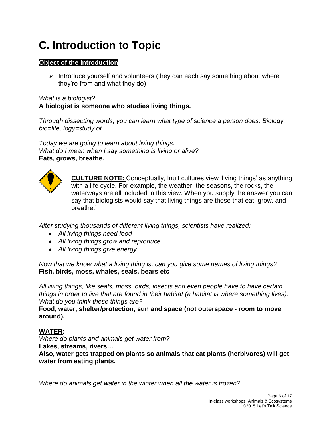## <span id="page-5-0"></span>**C. Introduction to Topic**

#### **Object of the Introduction**

 $\triangleright$  Introduce yourself and volunteers (they can each say something about where they're from and what they do)

#### *What is a biologist?* **A biologist is someone who studies living things.**

*Through dissecting words, you can learn what type of science a person does. Biology, bio=life, logy=study of*

*Today we are going to learn about living things. What do I mean when I say something is living or alive?* **Eats, grows, breathe.**



**CULTURE NOTE:** Conceptually, Inuit cultures view 'living things' as anything with a life cycle. For example, the weather, the seasons, the rocks, the waterways are all included in this view. When you supply the answer you can say that biologists would say that living things are those that eat, grow, and breathe.'

*After studying thousands of different living things, scientists have realized:*

- *All living things need food*
- *All living things grow and reproduce*
- *All living things give energy*

*Now that we know what a living thing is, can you give some names of living things?* **Fish, birds, moss, whales, seals, bears etc**

*All living things, like seals, moss, birds, insects and even people have to have certain things in order to live that are found in their habitat (a habitat is where something lives). What do you think these things are?*

**Food, water, shelter/protection, sun and space (not outerspace - room to move around).**

#### **WATER:**

*Where do plants and animals get water from?* **Lakes, streams, rivers…** 

**Also, water gets trapped on plants so animals that eat plants (herbivores) will get water from eating plants.**

*Where do animals get water in the winter when all the water is frozen?*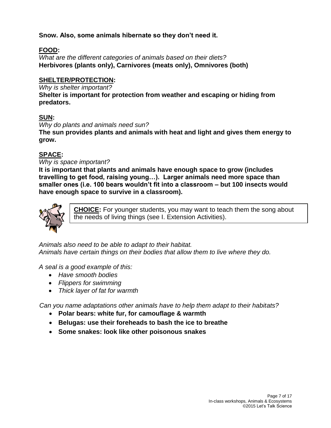#### **Snow. Also, some animals hibernate so they don't need it.**

#### **FOOD:**

*What are the different categories of animals based on their diets?* **Herbivores (plants only), Carnivores (meats only), Omnivores (both)**

#### **SHELTER/PROTECTION:**

*Why is shelter important?* **Shelter is important for protection from weather and escaping or hiding from predators.**

#### **SUN:**

*Why do plants and animals need sun?*

**The sun provides plants and animals with heat and light and gives them energy to grow.**

#### **SPACE:**

#### *Why is space important?*

**It is important that plants and animals have enough space to grow (includes travelling to get food, raising young…). Larger animals need more space than smaller ones (i.e. 100 bears wouldn't fit into a classroom – but 100 insects would have enough space to survive in a classroom).**



**CHOICE:** For younger students, you may want to teach them the song about the needs of living things (see I. Extension Activities).

*Animals also need to be able to adapt to their habitat. Animals have certain things on their bodies that allow them to live where they do.*

*A seal is a good example of this:*

- *Have smooth bodies*
- *Flippers for swimming*
- *Thick layer of fat for warmth*

*Can you name adaptations other animals have to help them adapt to their habitats?*

- **Polar bears: white fur, for camouflage & warmth**
- **Belugas: use their foreheads to bash the ice to breathe**
- **Some snakes: look like other poisonous snakes**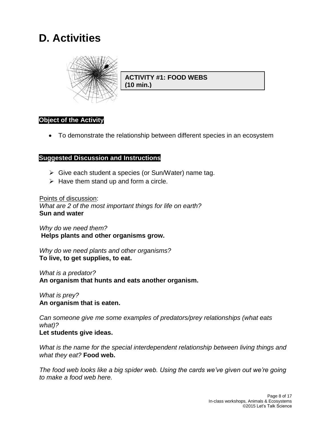## <span id="page-7-0"></span>**D. Activities**



**ACTIVITY #1: FOOD WEBS (10 min.)**

#### **Object of the Activity**

To demonstrate the relationship between different species in an ecosystem

#### **Suggested Discussion and Instructions**

- $\triangleright$  Give each student a species (or Sun/Water) name tag.
- $\triangleright$  Have them stand up and form a circle.

#### Points of discussion:

*What are 2 of the most important things for life on earth?* **Sun and water**

*Why do we need them?* **Helps plants and other organisms grow.**

*Why do we need plants and other organisms?* **To live, to get supplies, to eat.**

*What is a predator?* **An organism that hunts and eats another organism.**

*What is prey?* **An organism that is eaten.**

*Can someone give me some examples of predators/prey relationships (what eats what)?* **Let students give ideas.**

*What is the name for the special interdependent relationship between living things and what they eat?* **Food web.**

*The food web looks like a big spider web. Using the cards we've given out we're going to make a food web here.*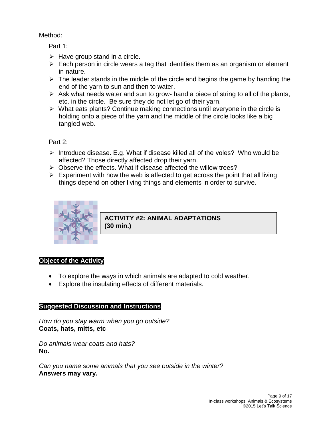#### Method:

#### Part 1:

- $\triangleright$  Have group stand in a circle.
- $\triangleright$  Each person in circle wears a tag that identifies them as an organism or element in nature.
- $\triangleright$  The leader stands in the middle of the circle and begins the game by handing the end of the yarn to sun and then to water.
- $\triangleright$  Ask what needs water and sun to grow- hand a piece of string to all of the plants, etc. in the circle. Be sure they do not let go of their yarn.
- $\triangleright$  What eats plants? Continue making connections until everyone in the circle is holding onto a piece of the yarn and the middle of the circle looks like a big tangled web.

Part 2:

- $\triangleright$  Introduce disease. E.g. What if disease killed all of the voles? Who would be affected? Those directly affected drop their yarn.
- $\triangleright$  Observe the effects. What if disease affected the willow trees?
- $\triangleright$  Experiment with how the web is affected to get across the point that all living things depend on other living things and elements in order to survive.



**ACTIVITY #2: ANIMAL ADAPTATIONS (30 min.)**

#### **Object of the Activity**

- To explore the ways in which animals are adapted to cold weather.
- Explore the insulating effects of different materials.

#### **Suggested Discussion and Instructions**

*How do you stay warm when you go outside?*  **Coats, hats, mitts, etc**

*Do animals wear coats and hats?* **No.**

*Can you name some animals that you see outside in the winter?* **Answers may vary.**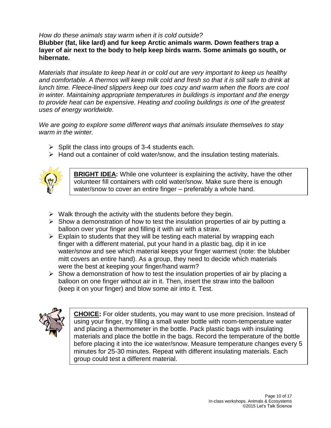#### *How do these animals stay warm when it is cold outside?*

**Blubber (fat, like lard) and fur keep Arctic animals warm. Down feathers trap a layer of air next to the body to help keep birds warm. Some animals go south, or hibernate.**

*Materials that insulate to keep heat in or cold out are very important to keep us healthy and comfortable. A thermos will keep milk cold and fresh so that it is still safe to drink at lunch time. Fleece-lined slippers keep our toes cozy and warm when the floors are cool in winter. Maintaining appropriate temperatures in buildings is important and the energy to provide heat can be expensive. Heating and cooling buildings is one of the greatest uses of energy worldwide.* 

*We are going to explore some different ways that animals insulate themselves to stay warm in the winter.*

- $\triangleright$  Split the class into groups of 3-4 students each.
- $\triangleright$  Hand out a container of cold water/snow, and the insulation testing materials.



**BRIGHT IDEA:** While one volunteer is explaining the activity, have the other volunteer fill containers with cold water/snow. Make sure there is enough water/snow to cover an entire finger – preferably a whole hand.

- $\triangleright$  Walk through the activity with the students before they begin.
- $\triangleright$  Show a demonstration of how to test the insulation properties of air by putting a balloon over your finger and filling it with air with a straw.
- $\triangleright$  Explain to students that they will be testing each material by wrapping each finger with a different material, put your hand in a plastic bag, dip it in ice water/snow and see which material keeps your finger warmest (note: the blubber mitt covers an entire hand). As a group, they need to decide which materials were the best at keeping your finger/hand warm?
- $\triangleright$  Show a demonstration of how to test the insulation properties of air by placing a balloon on one finger without air in it. Then, insert the straw into the balloon (keep it on your finger) and blow some air into it. Test.



**CHOICE:** For older students, you may want to use more precision. Instead of using your finger, try filling a small water bottle with room-temperature water and placing a thermometer in the bottle. Pack plastic bags with insulating materials and place the bottle in the bags. Record the temperature of the bottle before placing it into the ice water/snow. Measure temperature changes every 5 minutes for 25-30 minutes. Repeat with different insulating materials. Each group could test a different material.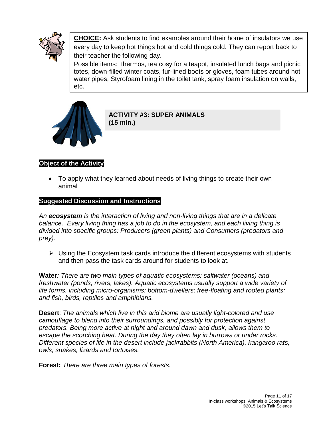

**CHOICE:** Ask students to find examples around their home of insulators we use every day to keep hot things hot and cold things cold. They can report back to their teacher the following day.

Possible items: thermos, tea cosy for a teapot, insulated lunch bags and picnic totes, down-filled winter coats, fur-lined boots or gloves, foam tubes around hot water pipes, Styrofoam lining in the toilet tank, spray foam insulation on walls, etc.



#### **ACTIVITY #3: SUPER ANIMALS (15 min.)**

#### **Object of the Activity**

 To apply what they learned about needs of living things to create their own animal

#### **Suggested Discussion and Instructions**

*An ecosystem is the interaction of living and non-living things that are in a delicate balance. Every living thing has a job to do in the ecosystem, and each living thing is divided into specific groups: Producers (green plants) and Consumers (predators and prey).*

 $\triangleright$  Using the Ecosystem task cards introduce the different ecosystems with students and then pass the task cards around for students to look at.

**Water***: There are two main types of aquatic ecosystems: saltwater (oceans) and freshwater (ponds, rivers, lakes). Aquatic ecosystems usually support a wide variety of life forms, including micro-organisms; bottom-dwellers; free-floating and rooted plants; and fish, birds, reptiles and amphibians.* 

**Desert**: *The animals which live in this arid biome are usually light-colored and use camouflage to blend into their surroundings, and possibly for protection against predators. Being more active at night and around dawn and dusk, allows them to escape the scorching heat. During the day they often lay in burrows or under rocks. Different species of life in the desert include jackrabbits (North America), kangaroo rats, owls, snakes, lizards and tortoises.*

**Forest:** *There are three main types of forests:*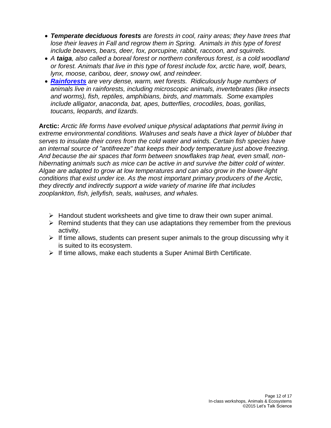- *Temperate deciduous forests are forests in cool, rainy areas; they have trees that lose their leaves in Fall and regrow them in Spring. Animals in this type of forest include beavers, bears, deer, fox, porcupine, rabbit, raccoon, and squirrels.*
- *A taiga, also called a boreal forest or northern coniferous forest, is a cold woodland or forest. Animals that live in this type of forest include fox, arctic hare, wolf, bears, lynx, moose, caribou, deer, snowy owl, and reindeer.*
- *[Rainforests](http://www.enchantedlearning.com/subjects/rainforests/) are very dense, warm, wet forests. Ridiculously huge numbers of animals live in rainforests, including microscopic animals, invertebrates (like insects and worms), fish, reptiles, amphibians, birds, and mammals. Some examples include alligator, anaconda, bat, apes, butterflies, crocodiles, boas, gorillas, toucans, leopards, and lizards.*

**Arctic:** *Arctic life forms have evolved unique physical adaptations that permit living in extreme environmental conditions. Walruses and seals have a thick layer of blubber that serves to insulate their cores from the cold water and winds. Certain fish species have an internal source of "antifreeze" that keeps their body temperature just above freezing. And because the air spaces that form between snowflakes trap heat, even small, nonhibernating animals such as mice can be active in and survive the bitter cold of winter. Algae are adapted to grow at low temperatures and can also grow in the lower-light conditions that exist under ice. As the most important primary producers of the Arctic, they directly and indirectly support a wide variety of marine life that includes zooplankton, fish, jellyfish, seals, walruses, and whales.*

- $\triangleright$  Handout student worksheets and give time to draw their own super animal.
- $\triangleright$  Remind students that they can use adaptations they remember from the previous activity.
- $\triangleright$  If time allows, students can present super animals to the group discussing why it is suited to its ecosystem.
- $\triangleright$  If time allows, make each students a Super Animal Birth Certificate.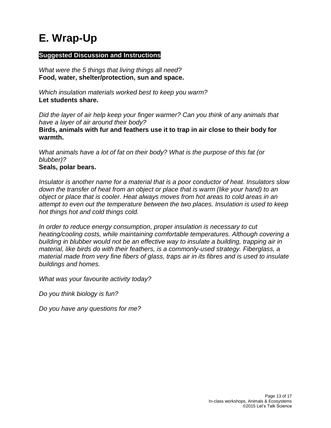## <span id="page-12-0"></span>**E. Wrap-Up**

#### **Suggested Discussion and Instructions**

*What were the 5 things that living things all need?* **Food, water, shelter/protection, sun and space.**

*Which insulation materials worked best to keep you warm?* **Let students share.**

*Did the layer of air help keep your finger warmer? Can you think of any animals that have a layer of air around their body?* **Birds, animals with fur and feathers use it to trap in air close to their body for warmth.**

*What animals have a lot of fat on their body? What is the purpose of this fat (or blubber)?*

#### **Seals, polar bears.**

*Insulator is another name for a material that is a poor conductor of heat. Insulators slow down the transfer of heat from an object or place that is warm (like your hand) to an object or place that is cooler. Heat always moves from hot areas to cold areas in an attempt to even out the temperature between the two places. Insulation is used to keep hot things hot and cold things cold.*

*In order to reduce energy consumption, proper insulation is necessary to cut heating/cooling costs, while maintaining comfortable temperatures. Although covering a building in blubber would not be an effective way to insulate a building, trapping air in material, like birds do with their feathers, is a commonly-used strategy. Fiberglass, a material made from very fine fibers of glass, traps air in its fibres and is used to insulate buildings and homes.*

*What was your favourite activity today?*

*Do you think biology is fun?*

*Do you have any questions for me?*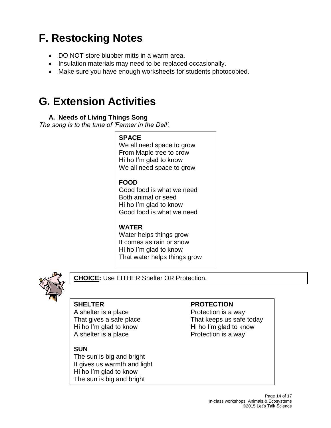## <span id="page-13-0"></span>**F. Restocking Notes**

- DO NOT store blubber mitts in a warm area.
- Insulation materials may need to be replaced occasionally.
- Make sure you have enough worksheets for students photocopied.

## <span id="page-13-1"></span>**G. Extension Activities**

#### **A. Needs of Living Things Song**

<span id="page-13-2"></span>*The song is to the tune of 'Farmer in the Dell'.*

## **SPACE**

We all need space to grow From Maple tree to crow Hi ho I'm glad to know We all need space to grow

#### **FOOD**

Good food is what we need Both animal or seed Hi ho I'm glad to know Good food is what we need

### **WATER**

Water helps things grow It comes as rain or snow Hi ho I'm glad to know That water helps things grow



**CHOICE:** Use EITHER Shelter OR Protection.

A shelter is a place Protection is a way Hi ho I'm glad to know Hi ho I'm glad to know A shelter is a place Protection is a way

#### **SUN**

The sun is big and bright It gives us warmth and light Hi ho I'm glad to know The sun is big and bright

#### **SHELTER PROTECTION**

That gives a safe place That keeps us safe today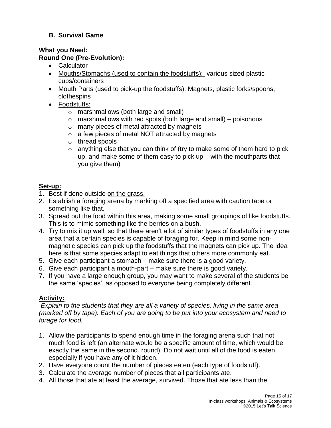#### <span id="page-14-0"></span>**B. Survival Game**

#### **What you Need: Round One (Pre-Evolution):**

- Calculator
- Mouths/Stomachs (used to contain the foodstuffs): various sized plastic cups/containers
- Mouth Parts (used to pick-up the foodstuffs): Magnets, plastic forks/spoons, clothespins
- Foodstuffs:
	- o marshmallows (both large and small)
	- $\circ$  marshmallows with red spots (both large and small) poisonous
	- o many pieces of metal attracted by magnets
	- o a few pieces of metal NOT attracted by magnets
	- o thread spools
	- $\circ$  anything else that you can think of (try to make some of them hard to pick up, and make some of them easy to pick up – with the mouthparts that you give them)

#### **Set-up:**

- 1. Best if done outside on the grass.
- 2. Establish a foraging arena by marking off a specified area with caution tape or something like that.
- 3. Spread out the food within this area, making some small groupings of like foodstuffs. This is to mimic something like the berries on a bush.
- 4. Try to mix it up well, so that there aren't a lot of similar types of foodstuffs in any one area that a certain species is capable of foraging for. Keep in mind some nonmagnetic species can pick up the foodstuffs that the magnets can pick up. The idea here is that some species adapt to eat things that others more commonly eat.
- 5. Give each participant a stomach make sure there is a good variety.
- 6. Give each participant a mouth-part make sure there is good variety.
- 7. If you have a large enough group, you may want to make several of the students be the same 'species', as opposed to everyone being completely different.

#### **Activity:**

*Explain to the students that they are all a variety of species, living in the same area (marked off by tape). Each of you are going to be put into your ecosystem and need to forage for food.* 

- 1. Allow the participants to spend enough time in the foraging arena such that not much food is left (an alternate would be a specific amount of time, which would be exactly the same in the second. round). Do not wait until all of the food is eaten, especially if you have any of it hidden.
- 2. Have everyone count the number of pieces eaten (each type of foodstuff).
- 3. Calculate the average number of pieces that all participants ate.
- 4. All those that ate at least the average, survived. Those that ate less than the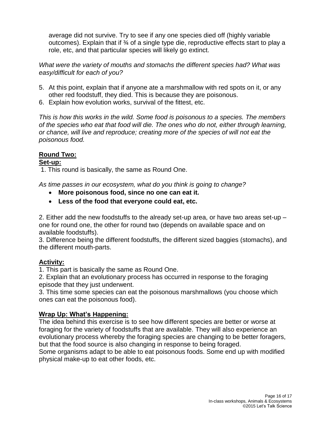average did not survive. Try to see if any one species died off (highly variable outcomes). Explain that if  $\frac{3}{4}$  of a single type die, reproductive effects start to play a role, etc, and that particular species will likely go extinct.

*What were the variety of mouths and stomachs the different species had? What was easy/difficult for each of you?*

- 5. At this point, explain that if anyone ate a marshmallow with red spots on it, or any other red foodstuff, they died. This is because they are poisonous.
- 6. Explain how evolution works, survival of the fittest, etc.

*This is how this works in the wild. Some food is poisonous to a species. The members of the species who eat that food will die. The ones who do not, either through learning, or chance, will live and reproduce; creating more of the species of will not eat the poisonous food.* 

#### **Round Two:**

#### **Set-up:**

1. This round is basically, the same as Round One.

*As time passes in our ecosystem, what do you think is going to change?*

- **More poisonous food, since no one can eat it.**
- **Less of the food that everyone could eat, etc.**

2. Either add the new foodstuffs to the already set-up area, or have two areas set-up – one for round one, the other for round two (depends on available space and on available foodstuffs).

3. Difference being the different foodstuffs, the different sized baggies (stomachs), and the different mouth-parts.

#### **Activity:**

1. This part is basically the same as Round One.

2. Explain that an evolutionary process has occurred in response to the foraging episode that they just underwent.

3. This time some species can eat the poisonous marshmallows (you choose which ones can eat the poisonous food).

#### **Wrap Up: What's Happening:**

The idea behind this exercise is to see how different species are better or worse at foraging for the variety of foodstuffs that are available. They will also experience an evolutionary process whereby the foraging species are changing to be better foragers, but that the food source is also changing in response to being foraged.

Some organisms adapt to be able to eat poisonous foods. Some end up with modified physical make-up to eat other foods, etc.